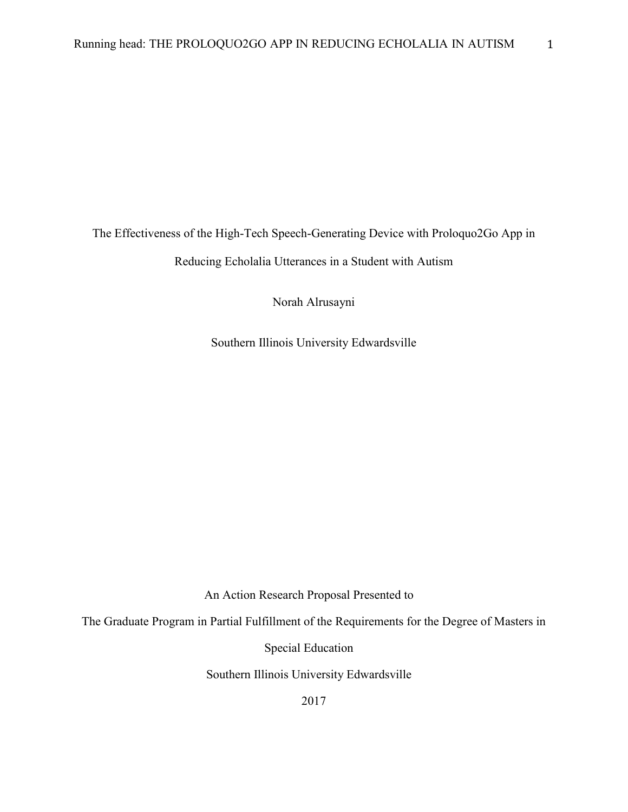The Effectiveness of the High-Tech Speech-Generating Device with Proloquo2Go App in

Reducing Echolalia Utterances in a Student with Autism

Norah Alrusayni

Southern Illinois University Edwardsville

An Action Research Proposal Presented to

The Graduate Program in Partial Fulfillment of the Requirements for the Degree of Masters in

Special Education

Southern Illinois University Edwardsville

2017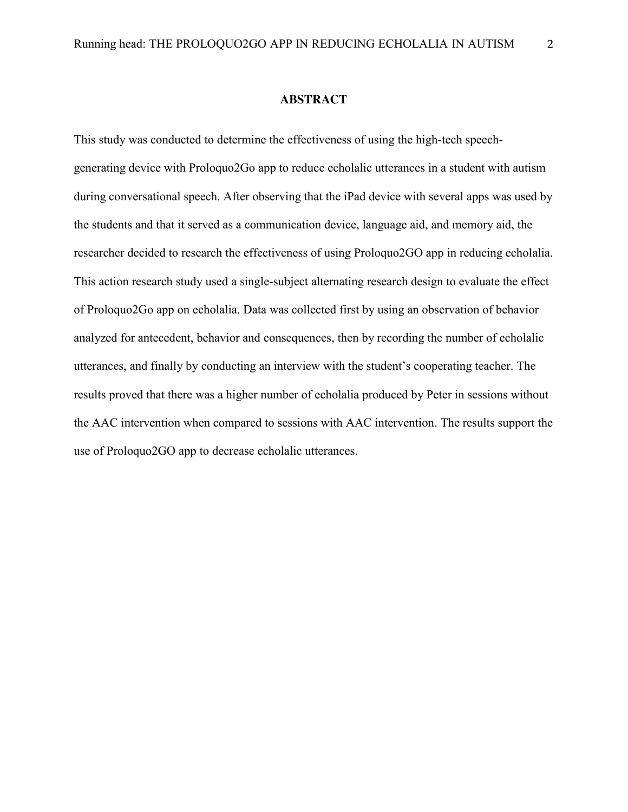#### **ABSTRACT**

This study was conducted to determine the effectiveness of using the high-tech speechgenerating device with Proloquo2Go app to reduce echolalic utterances in a student with autism during conversational speech. After observing that the iPad device with several apps was used by the students and that it served as a communication device, language aid, and memory aid, the researcher decided to research the effectiveness of using Proloquo2GO app in reducing echolalia. This action research study used a single-subject alternating research design to evaluate the effect of Proloquo2Go app on echolalia. Data was collected first by using an observation of behavior analyzed for antecedent, behavior and consequences, then by recording the number of echolalic utterances, and finally by conducting an interview with the student's cooperating teacher. The results proved that there was a higher number of echolalia produced by Peter in sessions without the AAC intervention when compared to sessions with AAC intervention. The results support the use of Proloquo2GO app to decrease echolalic utterances.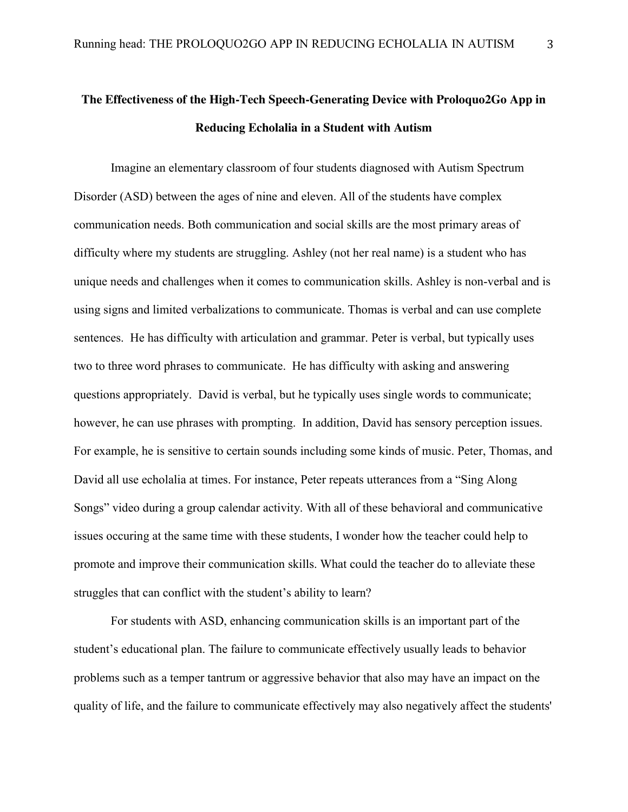# **The Effectiveness of the High-Tech Speech-Generating Device with Proloquo2Go App in Reducing Echolalia in a Student with Autism**

Imagine an elementary classroom of four students diagnosed with Autism Spectrum Disorder (ASD) between the ages of nine and eleven. All of the students have complex communication needs. Both communication and social skills are the most primary areas of difficulty where my students are struggling. Ashley (not her real name) is a student who has unique needs and challenges when it comes to communication skills. Ashley is non-verbal and is using signs and limited verbalizations to communicate. Thomas is verbal and can use complete sentences. He has difficulty with articulation and grammar. Peter is verbal, but typically uses two to three word phrases to communicate. He has difficulty with asking and answering questions appropriately. David is verbal, but he typically uses single words to communicate; however, he can use phrases with prompting. In addition, David has sensory perception issues. For example, he is sensitive to certain sounds including some kinds of music. Peter, Thomas, and David all use echolalia at times. For instance, Peter repeats utterances from a "Sing Along Songs" video during a group calendar activity. With all of these behavioral and communicative issues occuring at the same time with these students, I wonder how the teacher could help to promote and improve their communication skills. What could the teacher do to alleviate these struggles that can conflict with the student's ability to learn?

For students with ASD, enhancing communication skills is an important part of the student's educational plan. The failure to communicate effectively usually leads to behavior problems such as a temper tantrum or aggressive behavior that also may have an impact on the quality of life, and the failure to communicate effectively may also negatively affect the students'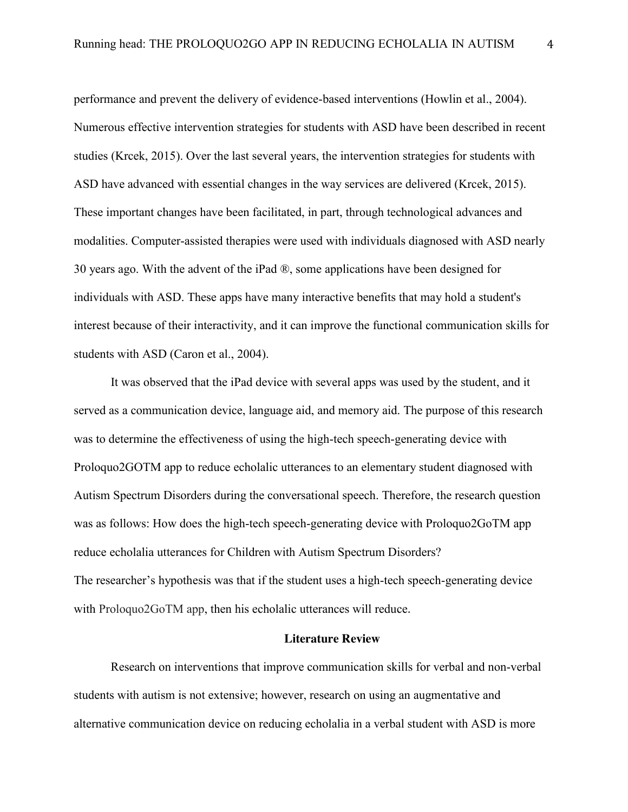performance and prevent the delivery of evidence-based interventions (Howlin et al., 2004). Numerous effective intervention strategies for students with ASD have been described in recent studies (Krcek, 2015). Over the last several years, the intervention strategies for students with ASD have advanced with essential changes in the way services are delivered (Krcek, 2015). These important changes have been facilitated, in part, through technological advances and modalities. Computer-assisted therapies were used with individuals diagnosed with ASD nearly 30 years ago. With the advent of the iPad ®, some applications have been designed for individuals with ASD. These apps have many interactive benefits that may hold a student's interest because of their interactivity, and it can improve the functional communication skills for students with ASD (Caron et al., 2004).

It was observed that the iPad device with several apps was used by the student, and it served as a communication device, language aid, and memory aid. The purpose of this research was to determine the effectiveness of using the high-tech speech-generating device with Proloquo2GOTM app to reduce echolalic utterances to an elementary student diagnosed with Autism Spectrum Disorders during the conversational speech. Therefore, the research question was as follows: How does the high-tech speech-generating device with Proloquo2GoTM app reduce echolalia utterances for Children with Autism Spectrum Disorders? The researcher's hypothesis was that if the student uses a high-tech speech-generating device with Proloquo2GoTM app, then his echolalic utterances will reduce.

#### **Literature Review**

Research on interventions that improve communication skills for verbal and non-verbal students with autism is not extensive; however, research on using an augmentative and alternative communication device on reducing echolalia in a verbal student with ASD is more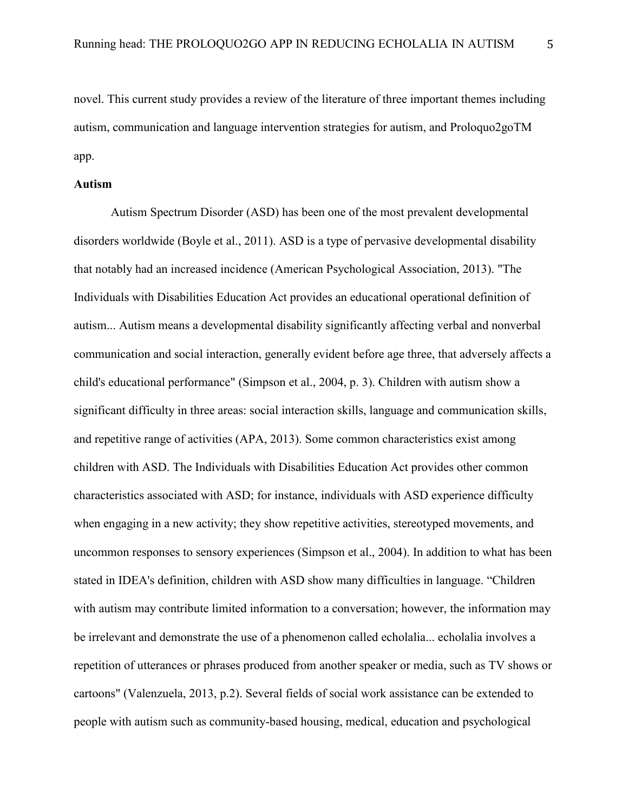novel. This current study provides a review of the literature of three important themes including autism, communication and language intervention strategies for autism, and Proloquo2goTM app.

#### **Autism**

Autism Spectrum Disorder (ASD) has been one of the most prevalent developmental disorders worldwide (Boyle et al., 2011). ASD is a type of pervasive developmental disability that notably had an increased incidence (American Psychological Association, 2013). "The Individuals with Disabilities Education Act provides an educational operational definition of autism... Autism means a developmental disability significantly affecting verbal and nonverbal communication and social interaction, generally evident before age three, that adversely affects a child's educational performance" (Simpson et al., 2004, p. 3). Children with autism show a significant difficulty in three areas: social interaction skills, language and communication skills, and repetitive range of activities (APA, 2013). Some common characteristics exist among children with ASD. The Individuals with Disabilities Education Act provides other common characteristics associated with ASD; for instance, individuals with ASD experience difficulty when engaging in a new activity; they show repetitive activities, stereotyped movements, and uncommon responses to sensory experiences (Simpson et al., 2004). In addition to what has been stated in IDEA's definition, children with ASD show many difficulties in language. "Children with autism may contribute limited information to a conversation; however, the information may be irrelevant and demonstrate the use of a phenomenon called echolalia... echolalia involves a repetition of utterances or phrases produced from another speaker or media, such as TV shows or cartoons" (Valenzuela, 2013, p.2). Several fields of social work assistance can be extended to people with autism such as community-based housing, medical, education and psychological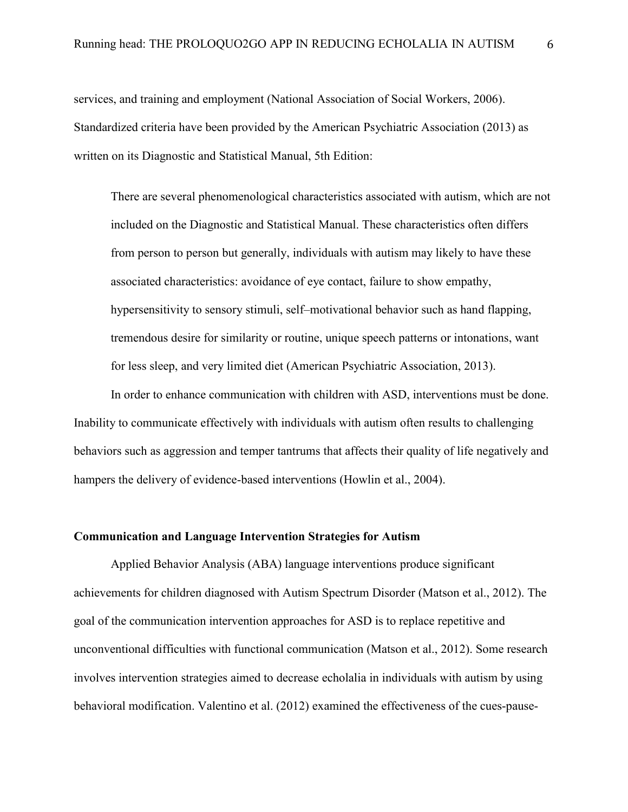services, and training and employment (National Association of Social Workers, 2006). Standardized criteria have been provided by the American Psychiatric Association (2013) as written on its Diagnostic and Statistical Manual, 5th Edition:

There are several phenomenological characteristics associated with autism, which are not included on the Diagnostic and Statistical Manual. These characteristics often differs from person to person but generally, individuals with autism may likely to have these associated characteristics: avoidance of eye contact, failure to show empathy, hypersensitivity to sensory stimuli, self–motivational behavior such as hand flapping, tremendous desire for similarity or routine, unique speech patterns or intonations, want for less sleep, and very limited diet (American Psychiatric Association, 2013).

In order to enhance communication with children with ASD, interventions must be done. Inability to communicate effectively with individuals with autism often results to challenging behaviors such as aggression and temper tantrums that affects their quality of life negatively and hampers the delivery of evidence-based interventions (Howlin et al., 2004).

## **Communication and Language Intervention Strategies for Autism**

Applied Behavior Analysis (ABA) language interventions produce significant achievements for children diagnosed with Autism Spectrum Disorder (Matson et al., 2012). The goal of the communication intervention approaches for ASD is to replace repetitive and unconventional difficulties with functional communication (Matson et al., 2012). Some research involves intervention strategies aimed to decrease echolalia in individuals with autism by using behavioral modification. Valentino et al. (2012) examined the effectiveness of the cues-pause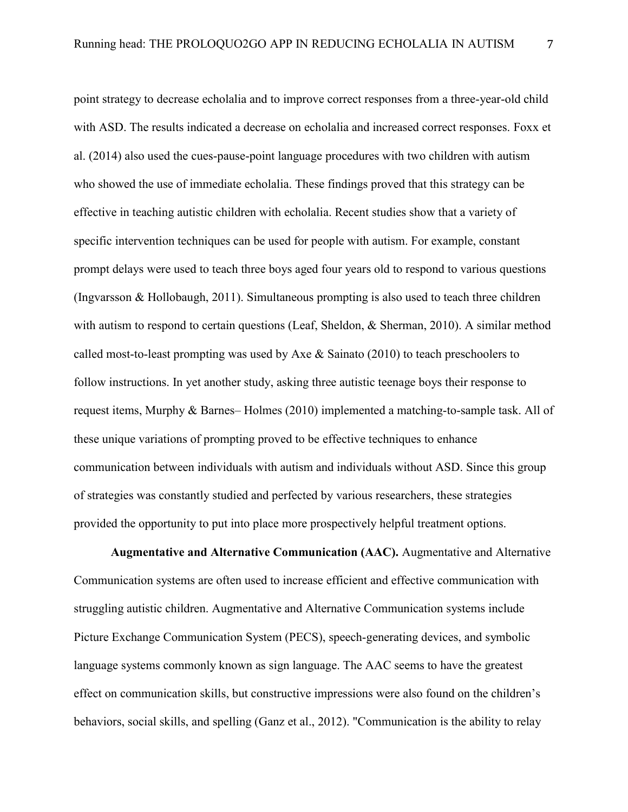point strategy to decrease echolalia and to improve correct responses from a three-year-old child with ASD. The results indicated a decrease on echolalia and increased correct responses. Foxx et al. (2014) also used the cues-pause-point language procedures with two children with autism who showed the use of immediate echolalia. These findings proved that this strategy can be effective in teaching autistic children with echolalia. Recent studies show that a variety of specific intervention techniques can be used for people with autism. For example, constant prompt delays were used to teach three boys aged four years old to respond to various questions (Ingvarsson & Hollobaugh, 2011). Simultaneous prompting is also used to teach three children with autism to respond to certain questions (Leaf, Sheldon, & Sherman, 2010). A similar method called most-to-least prompting was used by Axe & Sainato (2010) to teach preschoolers to follow instructions. In yet another study, asking three autistic teenage boys their response to request items, Murphy & Barnes– Holmes (2010) implemented a matching-to-sample task. All of these unique variations of prompting proved to be effective techniques to enhance communication between individuals with autism and individuals without ASD. Since this group of strategies was constantly studied and perfected by various researchers, these strategies provided the opportunity to put into place more prospectively helpful treatment options.

**Augmentative and Alternative Communication (AAC).** Augmentative and Alternative Communication systems are often used to increase efficient and effective communication with struggling autistic children. Augmentative and Alternative Communication systems include Picture Exchange Communication System (PECS), speech-generating devices, and symbolic language systems commonly known as sign language. The AAC seems to have the greatest effect on communication skills, but constructive impressions were also found on the children's behaviors, social skills, and spelling (Ganz et al., 2012). "Communication is the ability to relay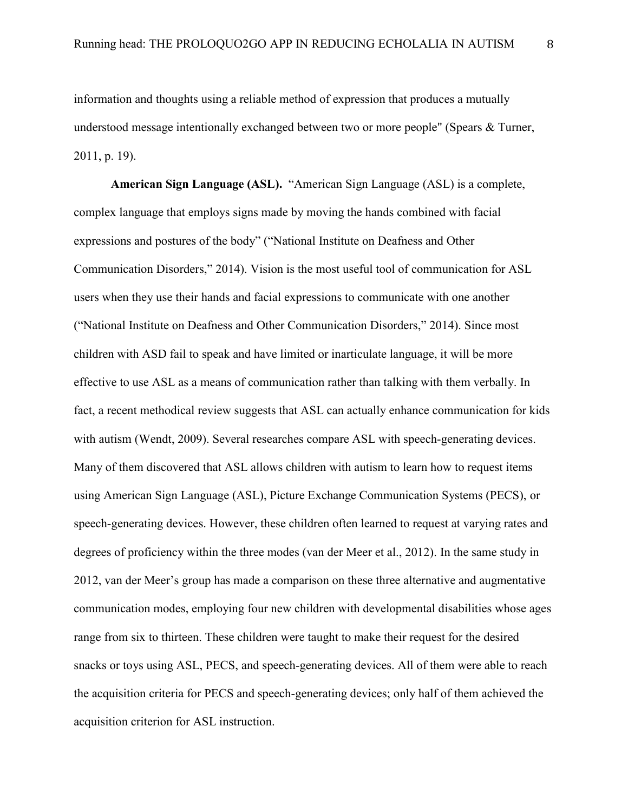information and thoughts using a reliable method of expression that produces a mutually understood message intentionally exchanged between two or more people" (Spears & Turner, 2011, p. 19).

**American Sign Language (ASL).** "American Sign Language (ASL) is a complete, complex language that employs signs made by moving the hands combined with facial expressions and postures of the body" ("National Institute on Deafness and Other Communication Disorders," 2014). Vision is the most useful tool of communication for ASL users when they use their hands and facial expressions to communicate with one another ("National Institute on Deafness and Other Communication Disorders," 2014). Since most children with ASD fail to speak and have limited or inarticulate language, it will be more effective to use ASL as a means of communication rather than talking with them verbally. In fact, a recent methodical review suggests that ASL can actually enhance communication for kids with autism (Wendt, 2009). Several researches compare ASL with speech-generating devices. Many of them discovered that ASL allows children with autism to learn how to request items using American Sign Language (ASL), Picture Exchange Communication Systems (PECS), or speech-generating devices. However, these children often learned to request at varying rates and degrees of proficiency within the three modes (van der Meer et al., 2012). In the same study in 2012, van der Meer's group has made a comparison on these three alternative and augmentative communication modes, employing four new children with developmental disabilities whose ages range from six to thirteen. These children were taught to make their request for the desired snacks or toys using ASL, PECS, and speech-generating devices. All of them were able to reach the acquisition criteria for PECS and speech-generating devices; only half of them achieved the acquisition criterion for ASL instruction.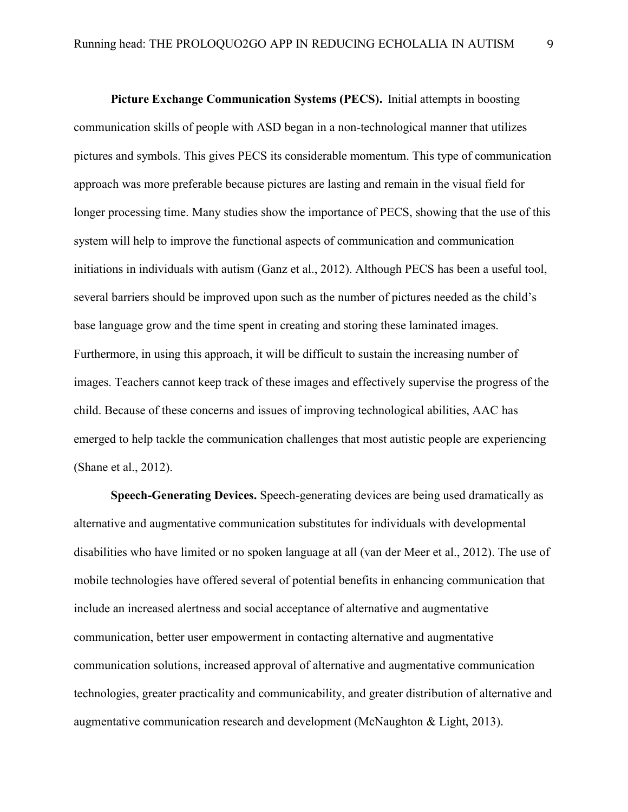**Picture Exchange Communication Systems (PECS).** Initial attempts in boosting communication skills of people with ASD began in a non-technological manner that utilizes pictures and symbols. This gives PECS its considerable momentum. This type of communication approach was more preferable because pictures are lasting and remain in the visual field for longer processing time. Many studies show the importance of PECS, showing that the use of this system will help to improve the functional aspects of communication and communication initiations in individuals with autism (Ganz et al., 2012). Although PECS has been a useful tool, several barriers should be improved upon such as the number of pictures needed as the child's base language grow and the time spent in creating and storing these laminated images. Furthermore, in using this approach, it will be difficult to sustain the increasing number of images. Teachers cannot keep track of these images and effectively supervise the progress of the child. Because of these concerns and issues of improving technological abilities, AAC has emerged to help tackle the communication challenges that most autistic people are experiencing (Shane et al., 2012).

**Speech-Generating Devices.** Speech-generating devices are being used dramatically as alternative and augmentative communication substitutes for individuals with developmental disabilities who have limited or no spoken language at all (van der Meer et al., 2012). The use of mobile technologies have offered several of potential benefits in enhancing communication that include an increased alertness and social acceptance of alternative and augmentative communication, better user empowerment in contacting alternative and augmentative communication solutions, increased approval of alternative and augmentative communication technologies, greater practicality and communicability, and greater distribution of alternative and augmentative communication research and development (McNaughton & Light, 2013).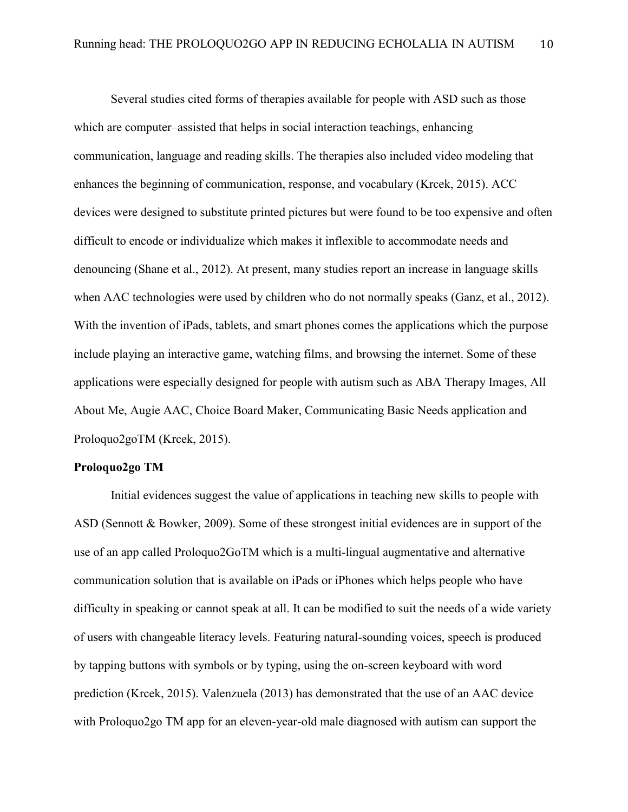Several studies cited forms of therapies available for people with ASD such as those which are computer–assisted that helps in social interaction teachings, enhancing communication, language and reading skills. The therapies also included video modeling that enhances the beginning of communication, response, and vocabulary (Krcek, 2015). ACC devices were designed to substitute printed pictures but were found to be too expensive and often difficult to encode or individualize which makes it inflexible to accommodate needs and denouncing (Shane et al., 2012). At present, many studies report an increase in language skills when AAC technologies were used by children who do not normally speaks (Ganz, et al., 2012). With the invention of iPads, tablets, and smart phones comes the applications which the purpose include playing an interactive game, watching films, and browsing the internet. Some of these applications were especially designed for people with autism such as ABA Therapy Images, All About Me, Augie AAC, Choice Board Maker, Communicating Basic Needs application and Proloquo2goTM (Krcek, 2015).

## **Proloquo2go TM**

Initial evidences suggest the value of applications in teaching new skills to people with ASD (Sennott & Bowker, 2009). Some of these strongest initial evidences are in support of the use of an app called Proloquo2GoTM which is a multi-lingual augmentative and alternative communication solution that is available on iPads or iPhones which helps people who have difficulty in speaking or cannot speak at all. It can be modified to suit the needs of a wide variety of users with changeable literacy levels. Featuring natural-sounding voices, speech is produced by tapping buttons with symbols or by typing, using the on-screen keyboard with word prediction (Krcek, 2015). Valenzuela (2013) has demonstrated that the use of an AAC device with Proloquo2go TM app for an eleven-year-old male diagnosed with autism can support the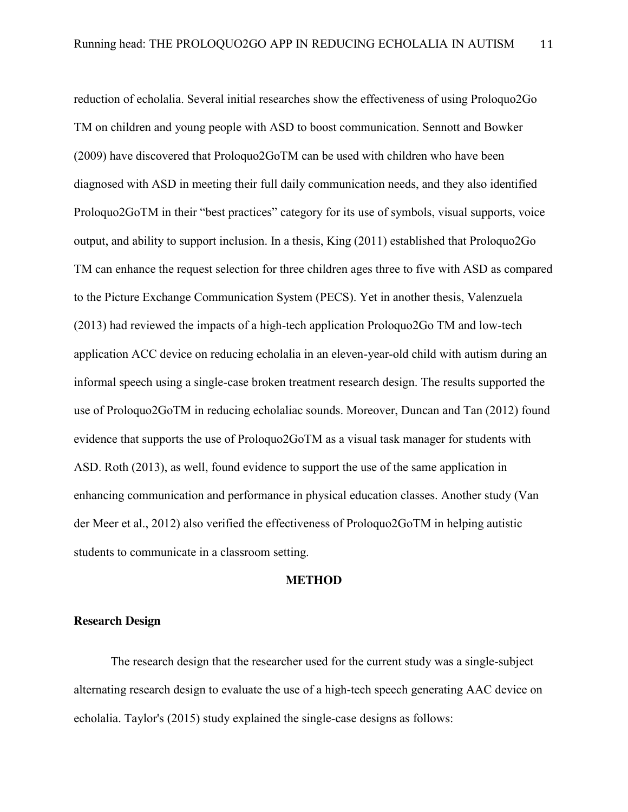reduction of echolalia. Several initial researches show the effectiveness of using Proloquo2Go TM on children and young people with ASD to boost communication. Sennott and Bowker (2009) have discovered that Proloquo2GoTM can be used with children who have been diagnosed with ASD in meeting their full daily communication needs, and they also identified Proloquo2GoTM in their "best practices" category for its use of symbols, visual supports, voice output, and ability to support inclusion. In a thesis, King (2011) established that Proloquo2Go TM can enhance the request selection for three children ages three to five with ASD as compared to the Picture Exchange Communication System (PECS). Yet in another thesis, Valenzuela (2013) had reviewed the impacts of a high-tech application Proloquo2Go TM and low-tech application ACC device on reducing echolalia in an eleven-year-old child with autism during an informal speech using a single-case broken treatment research design. The results supported the use of Proloquo2GoTM in reducing echolaliac sounds. Moreover, Duncan and Tan (2012) found evidence that supports the use of Proloquo2GoTM as a visual task manager for students with ASD. Roth (2013), as well, found evidence to support the use of the same application in enhancing communication and performance in physical education classes. Another study (Van der Meer et al., 2012) also verified the effectiveness of Proloquo2GoTM in helping autistic students to communicate in a classroom setting.

#### **METHOD**

## **Research Design**

The research design that the researcher used for the current study was a single-subject alternating research design to evaluate the use of a high-tech speech generating AAC device on echolalia. Taylor's (2015) study explained the single-case designs as follows: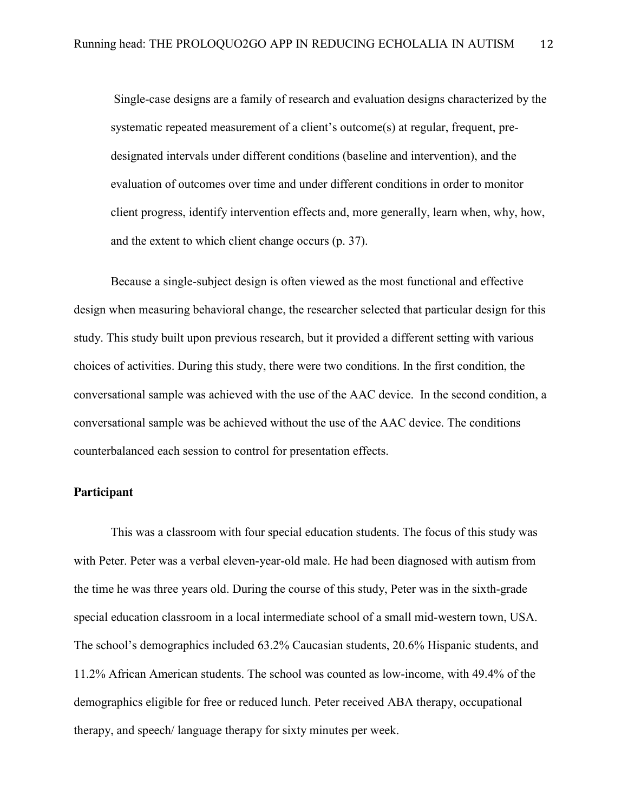Single-case designs are a family of research and evaluation designs characterized by the systematic repeated measurement of a client's outcome(s) at regular, frequent, predesignated intervals under different conditions (baseline and intervention), and the evaluation of outcomes over time and under different conditions in order to monitor client progress, identify intervention effects and, more generally, learn when, why, how, and the extent to which client change occurs (p. 37).

Because a single-subject design is often viewed as the most functional and effective design when measuring behavioral change, the researcher selected that particular design for this study. This study built upon previous research, but it provided a different setting with various choices of activities. During this study, there were two conditions. In the first condition, the conversational sample was achieved with the use of the AAC device. In the second condition, a conversational sample was be achieved without the use of the AAC device. The conditions counterbalanced each session to control for presentation effects.

# **Participant**

This was a classroom with four special education students. The focus of this study was with Peter. Peter was a verbal eleven-year-old male. He had been diagnosed with autism from the time he was three years old. During the course of this study, Peter was in the sixth-grade special education classroom in a local intermediate school of a small mid-western town, USA. The school's demographics included 63.2% Caucasian students, 20.6% Hispanic students, and 11.2% African American students. The school was counted as low-income, with 49.4% of the demographics eligible for free or reduced lunch. Peter received ABA therapy, occupational therapy, and speech/ language therapy for sixty minutes per week.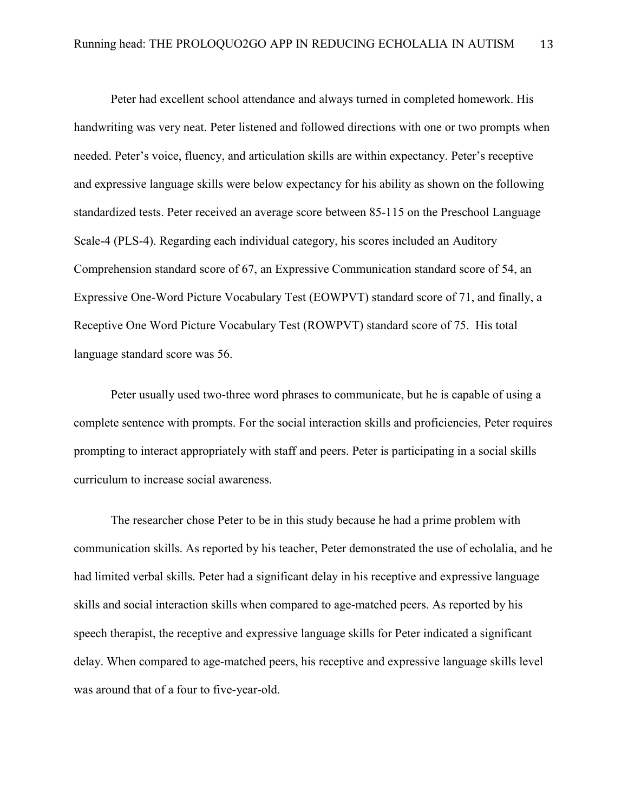Peter had excellent school attendance and always turned in completed homework. His handwriting was very neat. Peter listened and followed directions with one or two prompts when needed. Peter's voice, fluency, and articulation skills are within expectancy. Peter's receptive and expressive language skills were below expectancy for his ability as shown on the following standardized tests. Peter received an average score between 85-115 on the Preschool Language Scale-4 (PLS-4). Regarding each individual category, his scores included an Auditory Comprehension standard score of 67, an Expressive Communication standard score of 54, an Expressive One-Word Picture Vocabulary Test (EOWPVT) standard score of 71, and finally, a Receptive One Word Picture Vocabulary Test (ROWPVT) standard score of 75. His total language standard score was 56.

Peter usually used two-three word phrases to communicate, but he is capable of using a complete sentence with prompts. For the social interaction skills and proficiencies, Peter requires prompting to interact appropriately with staff and peers. Peter is participating in a social skills curriculum to increase social awareness.

The researcher chose Peter to be in this study because he had a prime problem with communication skills. As reported by his teacher, Peter demonstrated the use of echolalia, and he had limited verbal skills. Peter had a significant delay in his receptive and expressive language skills and social interaction skills when compared to age-matched peers. As reported by his speech therapist, the receptive and expressive language skills for Peter indicated a significant delay. When compared to age-matched peers, his receptive and expressive language skills level was around that of a four to five-year-old.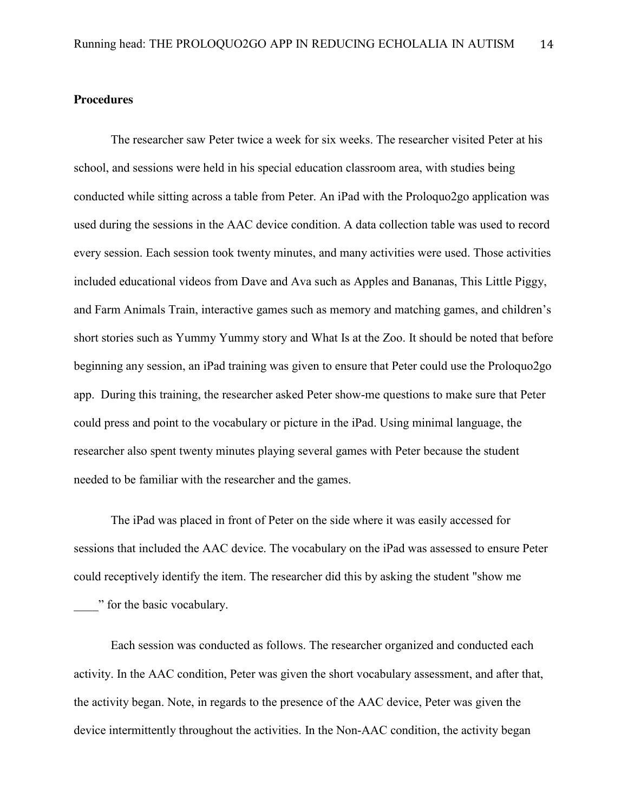#### **Procedures**

The researcher saw Peter twice a week for six weeks. The researcher visited Peter at his school, and sessions were held in his special education classroom area, with studies being conducted while sitting across a table from Peter. An iPad with the Proloquo2go application was used during the sessions in the AAC device condition. A data collection table was used to record every session. Each session took twenty minutes, and many activities were used. Those activities included educational videos from Dave and Ava such as Apples and Bananas, This Little Piggy, and Farm Animals Train, interactive games such as memory and matching games, and children's short stories such as Yummy Yummy story and What Is at the Zoo. It should be noted that before beginning any session, an iPad training was given to ensure that Peter could use the Proloquo2go app. During this training, the researcher asked Peter show-me questions to make sure that Peter could press and point to the vocabulary or picture in the iPad. Using minimal language, the researcher also spent twenty minutes playing several games with Peter because the student needed to be familiar with the researcher and the games.

The iPad was placed in front of Peter on the side where it was easily accessed for sessions that included the AAC device. The vocabulary on the iPad was assessed to ensure Peter could receptively identify the item. The researcher did this by asking the student "show me

\_\_\_\_" for the basic vocabulary.

Each session was conducted as follows. The researcher organized and conducted each activity. In the AAC condition, Peter was given the short vocabulary assessment, and after that, the activity began. Note, in regards to the presence of the AAC device, Peter was given the device intermittently throughout the activities. In the Non-AAC condition, the activity began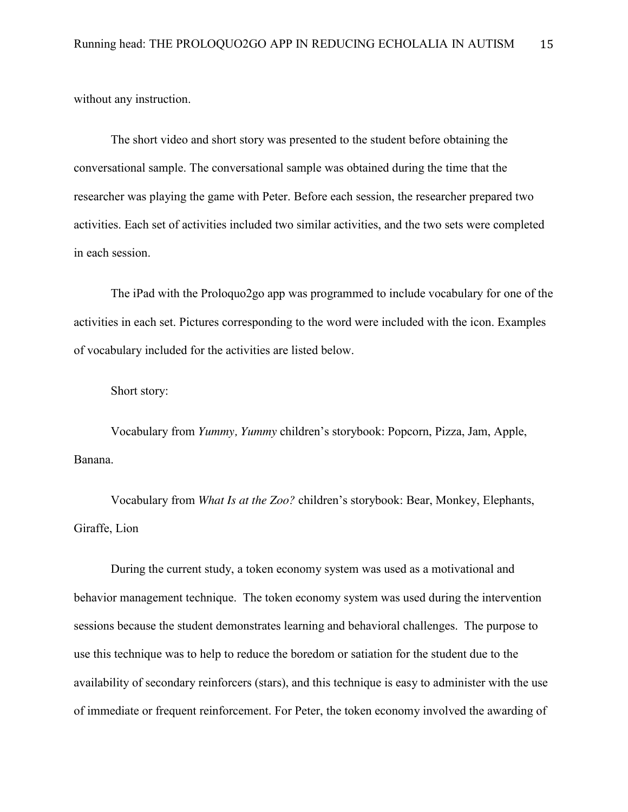without any instruction.

The short video and short story was presented to the student before obtaining the conversational sample. The conversational sample was obtained during the time that the researcher was playing the game with Peter. Before each session, the researcher prepared two activities. Each set of activities included two similar activities, and the two sets were completed in each session.

The iPad with the Proloquo2go app was programmed to include vocabulary for one of the activities in each set. Pictures corresponding to the word were included with the icon. Examples of vocabulary included for the activities are listed below.

Short story:

Vocabulary from *Yummy, Yummy* children's storybook: Popcorn, Pizza, Jam, Apple, Banana.

Vocabulary from *What Is at the Zoo?* children's storybook: Bear, Monkey, Elephants, Giraffe, Lion

During the current study, a token economy system was used as a motivational and behavior management technique. The token economy system was used during the intervention sessions because the student demonstrates learning and behavioral challenges. The purpose to use this technique was to help to reduce the boredom or satiation for the student due to the availability of secondary reinforcers (stars), and this technique is easy to administer with the use of immediate or frequent reinforcement. For Peter, the token economy involved the awarding of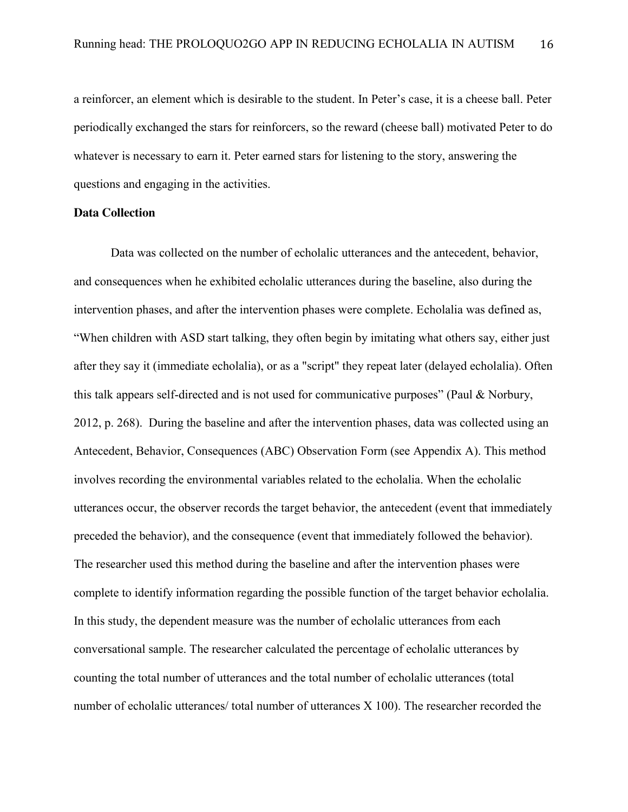a reinforcer, an element which is desirable to the student. In Peter's case, it is a cheese ball. Peter periodically exchanged the stars for reinforcers, so the reward (cheese ball) motivated Peter to do whatever is necessary to earn it. Peter earned stars for listening to the story, answering the questions and engaging in the activities.

#### **Data Collection**

Data was collected on the number of echolalic utterances and the antecedent, behavior, and consequences when he exhibited echolalic utterances during the baseline, also during the intervention phases, and after the intervention phases were complete. Echolalia was defined as, "When children with ASD start talking, they often begin by imitating what others say, either just after they say it (immediate echolalia), or as a "script" they repeat later (delayed echolalia). Often this talk appears self-directed and is not used for communicative purposes" (Paul & Norbury, 2012, p. 268). During the baseline and after the intervention phases, data was collected using an Antecedent, Behavior, Consequences (ABC) Observation Form (see Appendix A). This method involves recording the environmental variables related to the echolalia. When the echolalic utterances occur, the observer records the target behavior, the antecedent (event that immediately preceded the behavior), and the consequence (event that immediately followed the behavior). The researcher used this method during the baseline and after the intervention phases were complete to identify information regarding the possible function of the target behavior echolalia. In this study, the dependent measure was the number of echolalic utterances from each conversational sample. The researcher calculated the percentage of echolalic utterances by counting the total number of utterances and the total number of echolalic utterances (total number of echolalic utterances/ total number of utterances X 100). The researcher recorded the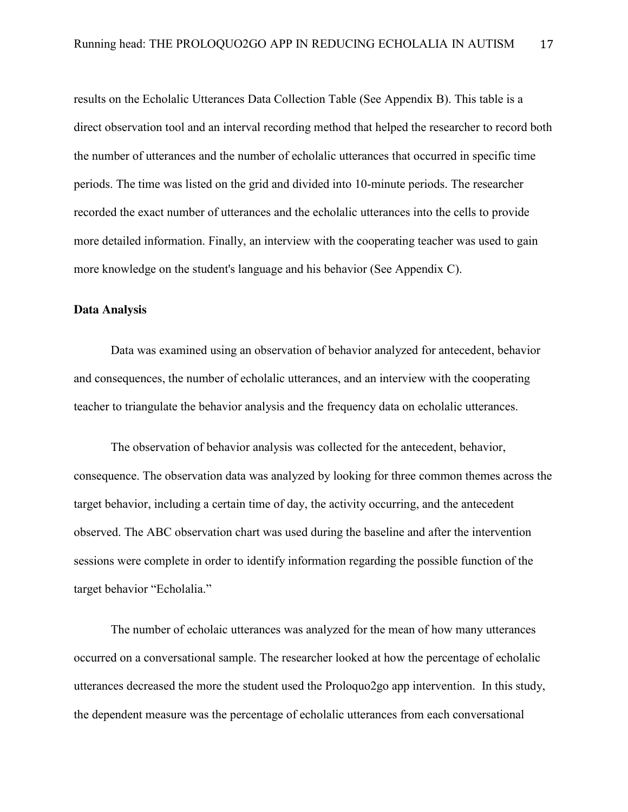results on the Echolalic Utterances Data Collection Table (See Appendix B). This table is a direct observation tool and an interval recording method that helped the researcher to record both the number of utterances and the number of echolalic utterances that occurred in specific time periods. The time was listed on the grid and divided into 10-minute periods. The researcher recorded the exact number of utterances and the echolalic utterances into the cells to provide more detailed information. Finally, an interview with the cooperating teacher was used to gain more knowledge on the student's language and his behavior (See Appendix C).

#### **Data Analysis**

Data was examined using an observation of behavior analyzed for antecedent, behavior and consequences, the number of echolalic utterances, and an interview with the cooperating teacher to triangulate the behavior analysis and the frequency data on echolalic utterances.

The observation of behavior analysis was collected for the antecedent, behavior, consequence. The observation data was analyzed by looking for three common themes across the target behavior, including a certain time of day, the activity occurring, and the antecedent observed. The ABC observation chart was used during the baseline and after the intervention sessions were complete in order to identify information regarding the possible function of the target behavior "Echolalia."

The number of echolaic utterances was analyzed for the mean of how many utterances occurred on a conversational sample. The researcher looked at how the percentage of echolalic utterances decreased the more the student used the Proloquo2go app intervention. In this study, the dependent measure was the percentage of echolalic utterances from each conversational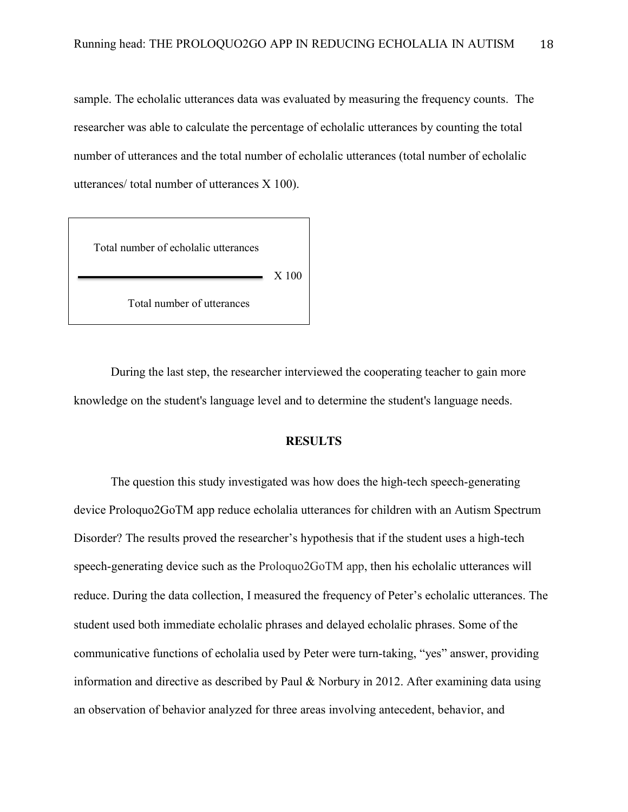sample. The echolalic utterances data was evaluated by measuring the frequency counts. The researcher was able to calculate the percentage of echolalic utterances by counting the total number of utterances and the total number of echolalic utterances (total number of echolalic utterances/ total number of utterances X 100).



During the last step, the researcher interviewed the cooperating teacher to gain more knowledge on the student's language level and to determine the student's language needs.

#### **RESULTS**

The question this study investigated was how does the high-tech speech-generating device Proloquo2GoTM app reduce echolalia utterances for children with an Autism Spectrum Disorder? The results proved the researcher's hypothesis that if the student uses a high-tech speech-generating device such as the Proloquo2GoTM app, then his echolalic utterances will reduce. During the data collection, I measured the frequency of Peter's echolalic utterances. The student used both immediate echolalic phrases and delayed echolalic phrases. Some of the communicative functions of echolalia used by Peter were turn-taking, "yes" answer, providing information and directive as described by Paul & Norbury in 2012. After examining data using an observation of behavior analyzed for three areas involving antecedent, behavior, and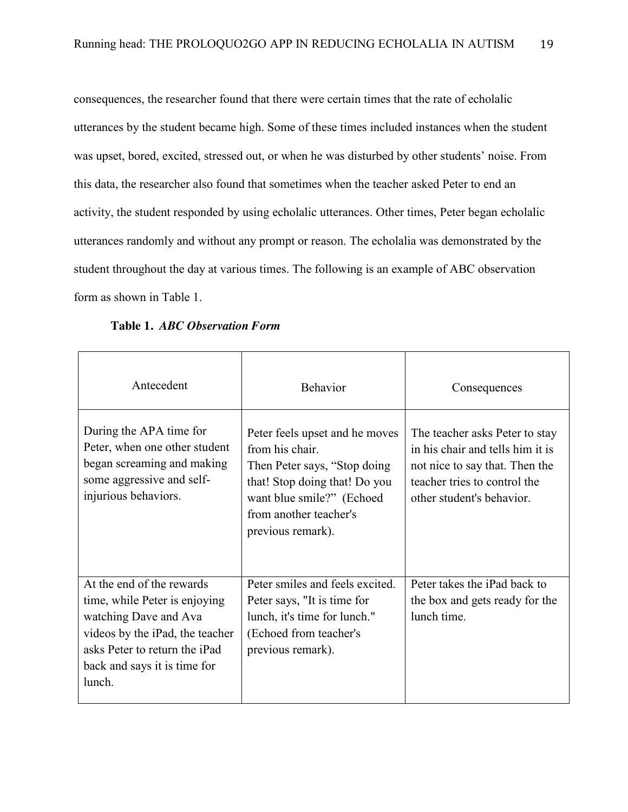consequences, the researcher found that there were certain times that the rate of echolalic utterances by the student became high. Some of these times included instances when the student was upset, bored, excited, stressed out, or when he was disturbed by other students' noise. From this data, the researcher also found that sometimes when the teacher asked Peter to end an activity, the student responded by using echolalic utterances. Other times, Peter began echolalic utterances randomly and without any prompt or reason. The echolalia was demonstrated by the student throughout the day at various times. The following is an example of ABC observation form as shown in Table 1.

| Antecedent                                                                                                                                                                                        | Behavior                                                                                                                                                                                       | Consequences                                                                                                                                                      |
|---------------------------------------------------------------------------------------------------------------------------------------------------------------------------------------------------|------------------------------------------------------------------------------------------------------------------------------------------------------------------------------------------------|-------------------------------------------------------------------------------------------------------------------------------------------------------------------|
| During the APA time for<br>Peter, when one other student<br>began screaming and making<br>some aggressive and self-<br>injurious behaviors.                                                       | Peter feels upset and he moves<br>from his chair<br>Then Peter says, "Stop doing"<br>that! Stop doing that! Do you<br>want blue smile?" (Echoed<br>from another teacher's<br>previous remark). | The teacher asks Peter to stay<br>in his chair and tells him it is<br>not nice to say that. Then the<br>teacher tries to control the<br>other student's behavior. |
| At the end of the rewards<br>time, while Peter is enjoying<br>watching Dave and Ava<br>videos by the iPad, the teacher<br>asks Peter to return the iPad<br>back and says it is time for<br>lunch. | Peter smiles and feels excited.<br>Peter says, "It is time for<br>lunch, it's time for lunch."<br>(Echoed from teacher's<br>previous remark).                                                  | Peter takes the iPad back to<br>the box and gets ready for the<br>lunch time.                                                                                     |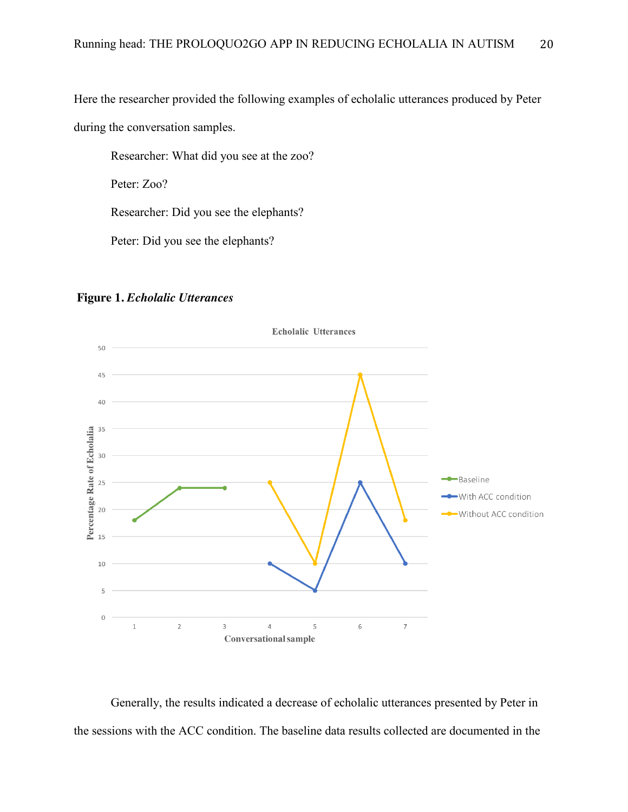Here the researcher provided the following examples of echolalic utterances produced by Peter during the conversation samples.

Researcher: What did you see at the zoo?

Peter: Zoo?

Researcher: Did you see the elephants?

Peter: Did you see the elephants?





Generally, the results indicated a decrease of echolalic utterances presented by Peter in the sessions with the ACC condition. The baseline data results collected are documented in the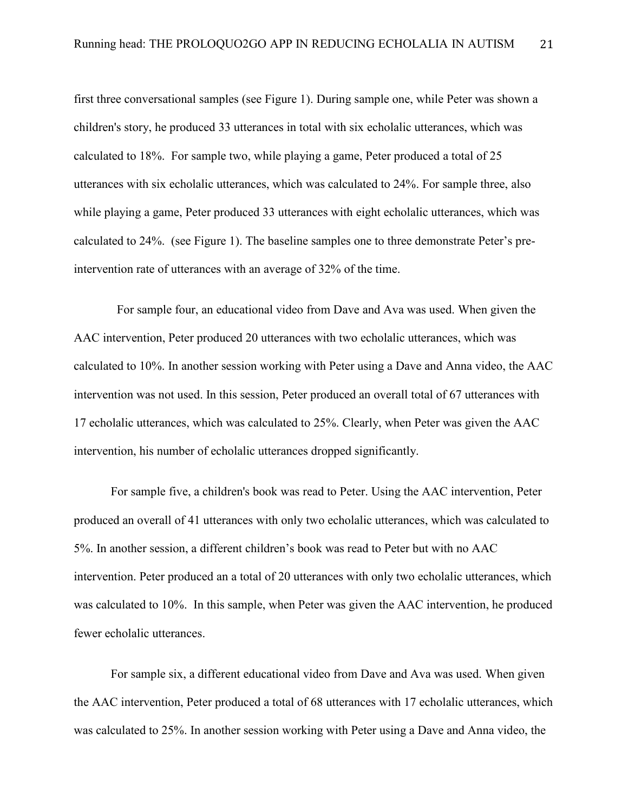first three conversational samples (see Figure 1). During sample one, while Peter was shown a children's story, he produced 33 utterances in total with six echolalic utterances, which was calculated to 18%. For sample two, while playing a game, Peter produced a total of 25 utterances with six echolalic utterances, which was calculated to 24%. For sample three, also while playing a game, Peter produced 33 utterances with eight echolalic utterances, which was calculated to 24%. (see Figure 1). The baseline samples one to three demonstrate Peter's preintervention rate of utterances with an average of 32% of the time.

For sample four, an educational video from Dave and Ava was used. When given the AAC intervention, Peter produced 20 utterances with two echolalic utterances, which was calculated to 10%. In another session working with Peter using a Dave and Anna video, the AAC intervention was not used. In this session, Peter produced an overall total of 67 utterances with 17 echolalic utterances, which was calculated to 25%. Clearly, when Peter was given the AAC intervention, his number of echolalic utterances dropped significantly.

For sample five, a children's book was read to Peter. Using the AAC intervention, Peter produced an overall of 41 utterances with only two echolalic utterances, which was calculated to 5%. In another session, a different children's book was read to Peter but with no AAC intervention. Peter produced an a total of 20 utterances with only two echolalic utterances, which was calculated to 10%. In this sample, when Peter was given the AAC intervention, he produced fewer echolalic utterances.

For sample six, a different educational video from Dave and Ava was used. When given the AAC intervention, Peter produced a total of 68 utterances with 17 echolalic utterances, which was calculated to 25%. In another session working with Peter using a Dave and Anna video, the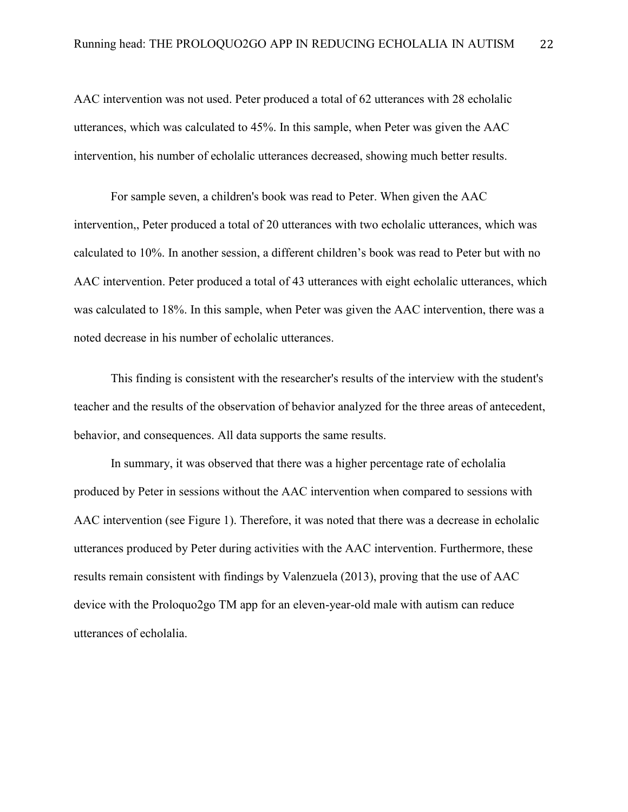AAC intervention was not used. Peter produced a total of 62 utterances with 28 echolalic utterances, which was calculated to 45%. In this sample, when Peter was given the AAC intervention, his number of echolalic utterances decreased, showing much better results.

For sample seven, a children's book was read to Peter. When given the AAC intervention,, Peter produced a total of 20 utterances with two echolalic utterances, which was calculated to 10%. In another session, a different children's book was read to Peter but with no AAC intervention. Peter produced a total of 43 utterances with eight echolalic utterances, which was calculated to 18%. In this sample, when Peter was given the AAC intervention, there was a noted decrease in his number of echolalic utterances.

This finding is consistent with the researcher's results of the interview with the student's teacher and the results of the observation of behavior analyzed for the three areas of antecedent, behavior, and consequences. All data supports the same results.

In summary, it was observed that there was a higher percentage rate of echolalia produced by Peter in sessions without the AAC intervention when compared to sessions with AAC intervention (see Figure 1). Therefore, it was noted that there was a decrease in echolalic utterances produced by Peter during activities with the AAC intervention. Furthermore, these results remain consistent with findings by Valenzuela (2013), proving that the use of AAC device with the Proloquo2go TM app for an eleven-year-old male with autism can reduce utterances of echolalia.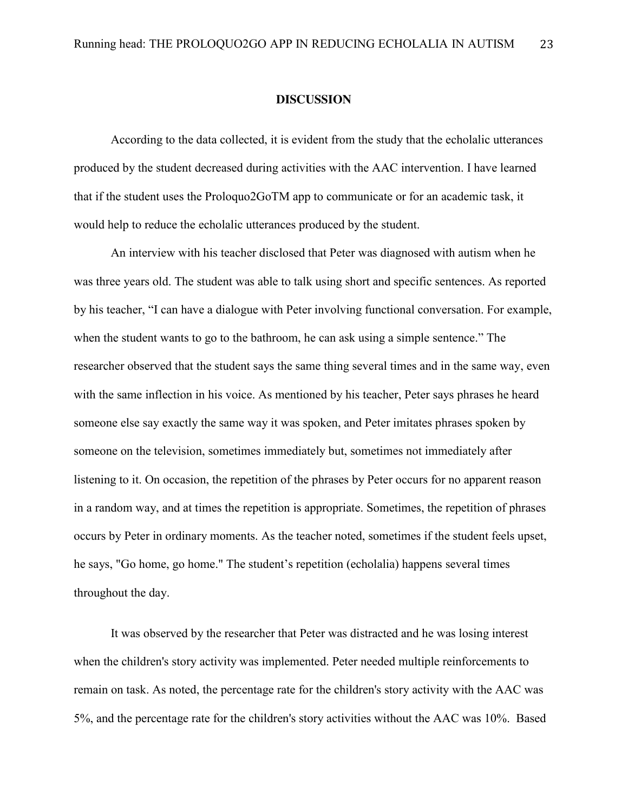#### **DISCUSSION**

According to the data collected, it is evident from the study that the echolalic utterances produced by the student decreased during activities with the AAC intervention. I have learned that if the student uses the Proloquo2GoTM app to communicate or for an academic task, it would help to reduce the echolalic utterances produced by the student.

An interview with his teacher disclosed that Peter was diagnosed with autism when he was three years old. The student was able to talk using short and specific sentences. As reported by his teacher, "I can have a dialogue with Peter involving functional conversation. For example, when the student wants to go to the bathroom, he can ask using a simple sentence." The researcher observed that the student says the same thing several times and in the same way, even with the same inflection in his voice. As mentioned by his teacher, Peter says phrases he heard someone else say exactly the same way it was spoken, and Peter imitates phrases spoken by someone on the television, sometimes immediately but, sometimes not immediately after listening to it. On occasion, the repetition of the phrases by Peter occurs for no apparent reason in a random way, and at times the repetition is appropriate. Sometimes, the repetition of phrases occurs by Peter in ordinary moments. As the teacher noted, sometimes if the student feels upset, he says, "Go home, go home." The student's repetition (echolalia) happens several times throughout the day.

It was observed by the researcher that Peter was distracted and he was losing interest when the children's story activity was implemented. Peter needed multiple reinforcements to remain on task. As noted, the percentage rate for the children's story activity with the AAC was 5%, and the percentage rate for the children's story activities without the AAC was 10%. Based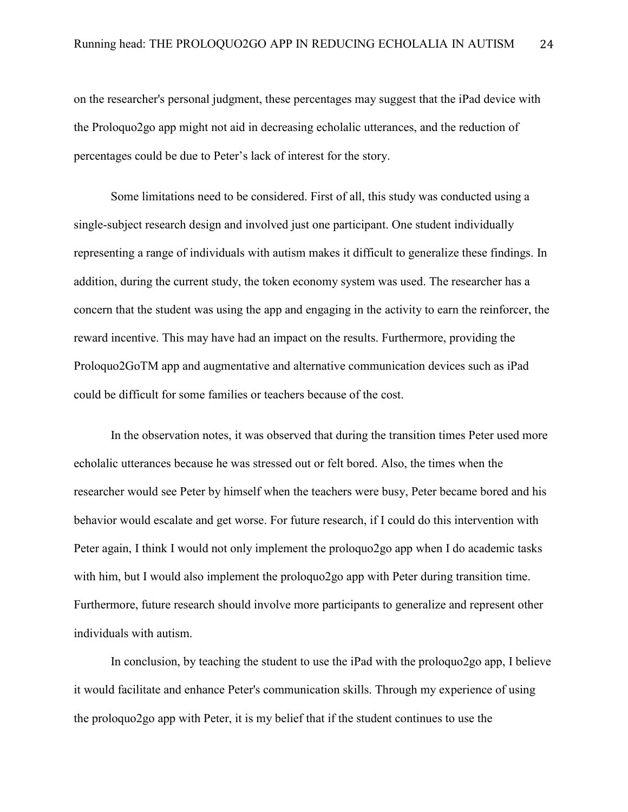on the researcher's personal judgment, these percentages may suggest that the iPad device with the Proloquo2go app might not aid in decreasing echolalic utterances, and the reduction of percentages could be due to Peter's lack of interest for the story.

Some limitations need to be considered. First of all, this study was conducted using a single-subject research design and involved just one participant. One student individually representing a range of individuals with autism makes it difficult to generalize these findings. In addition, during the current study, the token economy system was used. The researcher has a concern that the student was using the app and engaging in the activity to earn the reinforcer, the reward incentive. This may have had an impact on the results. Furthermore, providing the Proloquo2GoTM app and augmentative and alternative communication devices such as iPad could be difficult for some families or teachers because of the cost.

In the observation notes, it was observed that during the transition times Peter used more echolalic utterances because he was stressed out or felt bored. Also, the times when the researcher would see Peter by himself when the teachers were busy, Peter became bored and his behavior would escalate and get worse. For future research, if I could do this intervention with Peter again, I think I would not only implement the proloquo2go app when I do academic tasks with him, but I would also implement the proloquo2go app with Peter during transition time. Furthermore, future research should involve more participants to generalize and represent other individuals with autism.

In conclusion, by teaching the student to use the iPad with the proloquo2go app, I believe it would facilitate and enhance Peter's communication skills. Through my experience of using the proloquo2go app with Peter, it is my belief that if the student continues to use the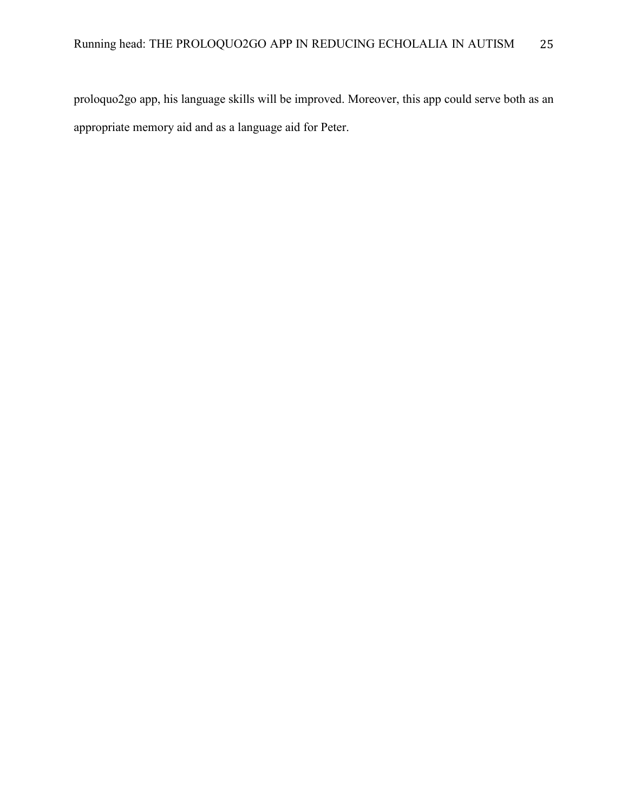proloquo2go app, his language skills will be improved. Moreover, this app could serve both as an appropriate memory aid and as a language aid for Peter.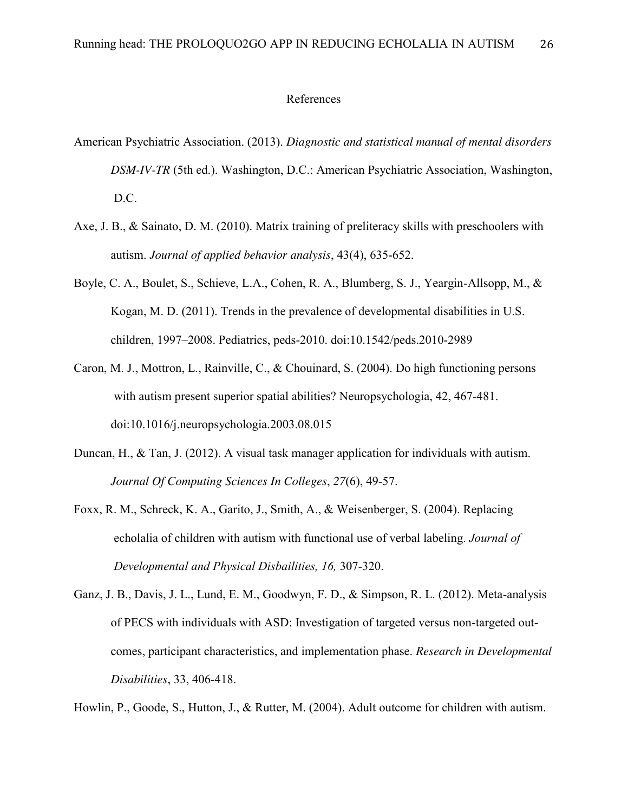#### References

- American Psychiatric Association. (2013). *Diagnostic and statistical manual of mental disorders DSM-IV-TR* (5th ed.). Washington, D.C.: American Psychiatric Association, Washington, D.C.
- Axe, J. B., & Sainato, D. M. (2010). Matrix training of preliteracy skills with preschoolers with autism. *Journal of applied behavior analysis*, 43(4), 635-652.
- Boyle, C. A., Boulet, S., Schieve, L.A., Cohen, R. A., Blumberg, S. J., Yeargin-Allsopp, M., & Kogan, M. D. (2011). Trends in the prevalence of developmental disabilities in U.S. children, 1997–2008. Pediatrics, peds-2010. doi:10.1542/peds.2010-2989
- Caron, M. J., Mottron, L., Rainville, C., & Chouinard, S. (2004). Do high functioning persons with autism present superior spatial abilities? Neuropsychologia, 42, 467-481. doi:10.1016/j.neuropsychologia.2003.08.015
- Duncan, H., & Tan, J. (2012). A visual task manager application for individuals with autism. *Journal Of Computing Sciences In Colleges*, *27*(6), 49-57.
- Foxx, R. M., Schreck, K. A., Garito, J., Smith, A., & Weisenberger, S. (2004). Replacing echolalia of children with autism with functional use of verbal labeling. *Journal of Developmental and Physical Disbailities, 16,* 307-320.
- Ganz, J. B., Davis, J. L., Lund, E. M., Goodwyn, F. D., & Simpson, R. L. (2012). Meta-analysis of PECS with individuals with ASD: Investigation of targeted versus non-targeted outcomes, participant characteristics, and implementation phase. *Research in Developmental Disabilities*, 33, 406-418.

Howlin, P., Goode, S., Hutton, J., & Rutter, M. (2004). Adult outcome for children with autism.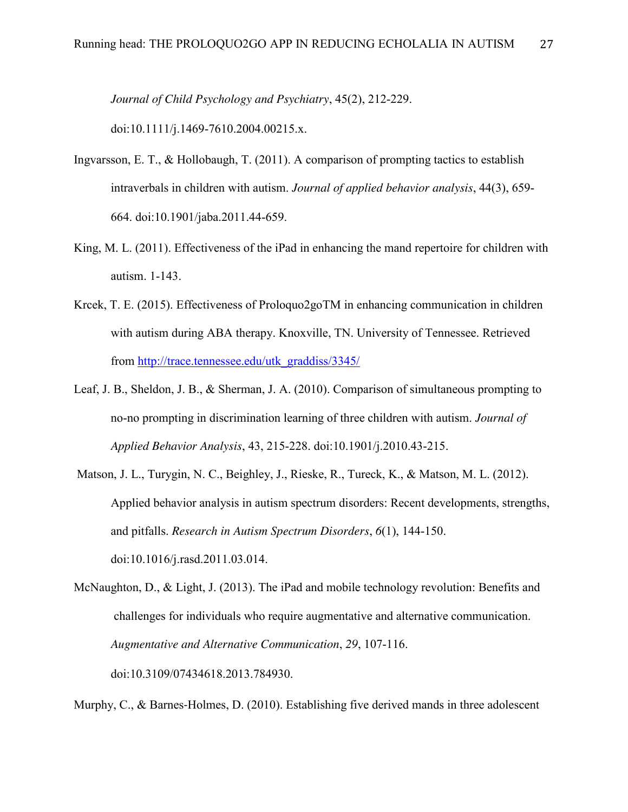*Journal of Child Psychology and Psychiatry*, 45(2), 212-229.

doi:10.1111/j.1469-7610.2004.00215.x.

- Ingvarsson, E. T., & Hollobaugh, T. (2011). A comparison of prompting tactics to establish intraverbals in children with autism. *Journal of applied behavior analysis*, 44(3), 659- 664. doi:10.1901/jaba.2011.44-659.
- King, M. L. (2011). Effectiveness of the iPad in enhancing the mand repertoire for children with autism. 1-143.
- Krcek, T. E. (2015). Effectiveness of Proloquo2goTM in enhancing communication in children with autism during ABA therapy. Knoxville, TN. University of Tennessee. Retrieved from [http://trace.tennessee.edu/utk\\_graddiss/3345/](http://trace.tennessee.edu/utk_graddiss/3345/)
- Leaf, J. B., Sheldon, J. B., & Sherman, J. A. (2010). Comparison of simultaneous prompting to no-no prompting in discrimination learning of three children with autism. *Journal of Applied Behavior Analysis*, 43, 215-228. doi:10.1901/j.2010.43-215.
- Matson, J. L., Turygin, N. C., Beighley, J., Rieske, R., Tureck, K., & Matson, M. L. (2012). Applied behavior analysis in autism spectrum disorders: Recent developments, strengths, and pitfalls. *Research in Autism Spectrum Disorders*, *6*(1), 144-150. doi:10.1016/j.rasd.2011.03.014.
- McNaughton, D., & Light, J. (2013). The iPad and mobile technology revolution: Benefits and challenges for individuals who require augmentative and alternative communication. *Augmentative and Alternative Communication*, *29*, 107-116. doi:10.3109/07434618.2013.784930.

Murphy, C., & Barnes-Holmes, D. (2010). Establishing five derived mands in three adolescent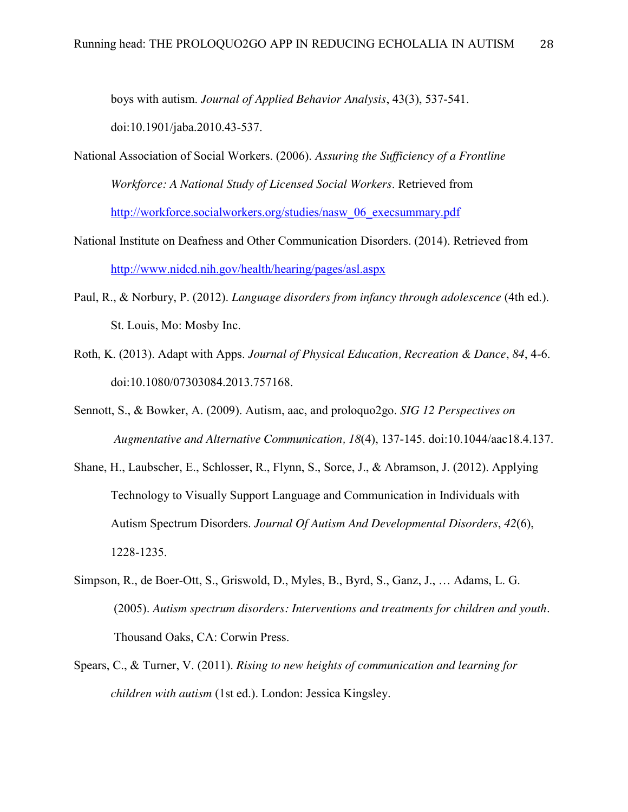boys with autism. *Journal of Applied Behavior Analysis*, 43(3), 537-541. doi:10.1901/jaba.2010.43-537.

- National Association of Social Workers. (2006). *Assuring the Sufficiency of a Frontline Workforce: A National Study of Licensed Social Workers*. Retrieved from [http://workforce.socialworkers.org/studies/nasw\\_06\\_execsummary.pdf](http://workforce.socialworkers.org/studies/nasw_06_execsummary.pdf)
- National Institute on Deafness and Other Communication Disorders. (2014). Retrieved from <http://www.nidcd.nih.gov/health/hearing/pages/asl.aspx>
- Paul, R., & Norbury, P. (2012). *Language disorders from infancy through adolescence* (4th ed.). St. Louis, Mo: Mosby Inc.
- Roth, K. (2013). Adapt with Apps. *Journal of Physical Education, Recreation & Dance*, *84*, 4-6. doi:10.1080/07303084.2013.757168.
- Sennott, S., & Bowker, A. (2009). Autism, aac, and proloquo2go. *SIG 12 Perspectives on Augmentative and Alternative Communication, 18*(4), 137-145. doi:10.1044/aac18.4.137.
- Shane, H., Laubscher, E., Schlosser, R., Flynn, S., Sorce, J., & Abramson, J. (2012). Applying Technology to Visually Support Language and Communication in Individuals with Autism Spectrum Disorders. *Journal Of Autism And Developmental Disorders*, *42*(6), 1228-1235.
- Simpson, R., de Boer-Ott, S., Griswold, D., Myles, B., Byrd, S., Ganz, J., … Adams, L. G. (2005). *Autism spectrum disorders: Interventions and treatments for children and youth*. Thousand Oaks, CA: Corwin Press.
- Spears, C., & Turner, V. (2011). *Rising to new heights of communication and learning for children with autism* (1st ed.). London: Jessica Kingsley.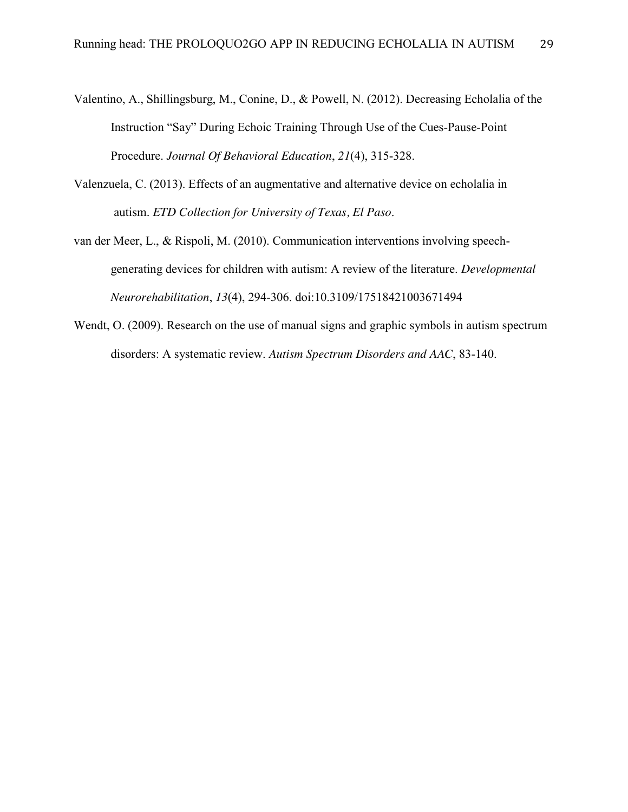- Valentino, A., Shillingsburg, M., Conine, D., & Powell, N. (2012). Decreasing Echolalia of the Instruction "Say" During Echoic Training Through Use of the Cues-Pause-Point Procedure. *Journal Of Behavioral Education*, *21*(4), 315-328.
- Valenzuela, C. (2013). Effects of an augmentative and alternative device on echolalia in autism. *ETD Collection for University of Texas, El Paso*.
- van der Meer, L., & Rispoli, M. (2010). Communication interventions involving speechgenerating devices for children with autism: A review of the literature. *Developmental Neurorehabilitation*, *13*(4), 294-306. doi:10.3109/17518421003671494
- Wendt, O. (2009). Research on the use of manual signs and graphic symbols in autism spectrum disorders: A systematic review. *Autism Spectrum Disorders and AAC*, 83-140.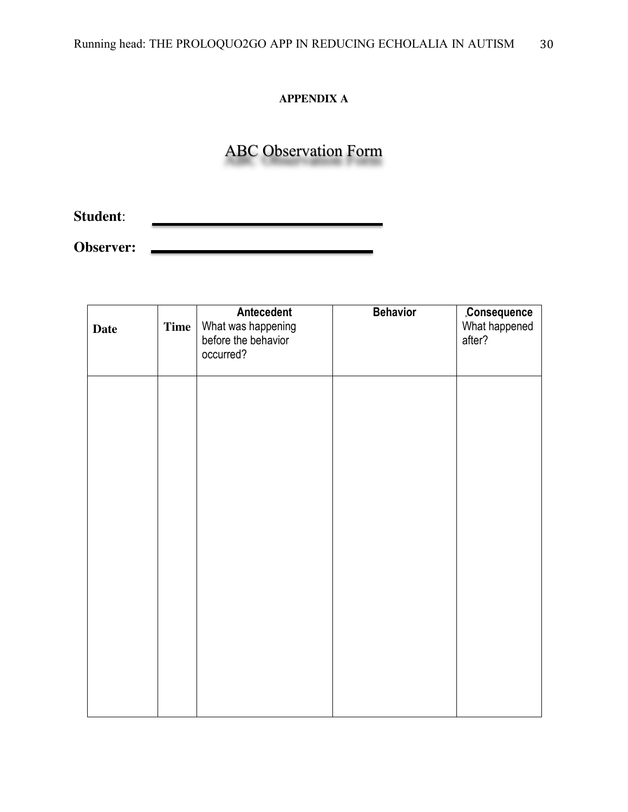# **APPENDIX A**

# ABC Observation Form

**Student**:

**Observer:**

| <b>Date</b> | <b>Time</b> | Antecedent<br>What was happening<br>before the behavior<br>occurred? | <b>Behavior</b> | Consequence<br>What happened<br>after? |
|-------------|-------------|----------------------------------------------------------------------|-----------------|----------------------------------------|
|             |             |                                                                      |                 |                                        |
|             |             |                                                                      |                 |                                        |
|             |             |                                                                      |                 |                                        |
|             |             |                                                                      |                 |                                        |
|             |             |                                                                      |                 |                                        |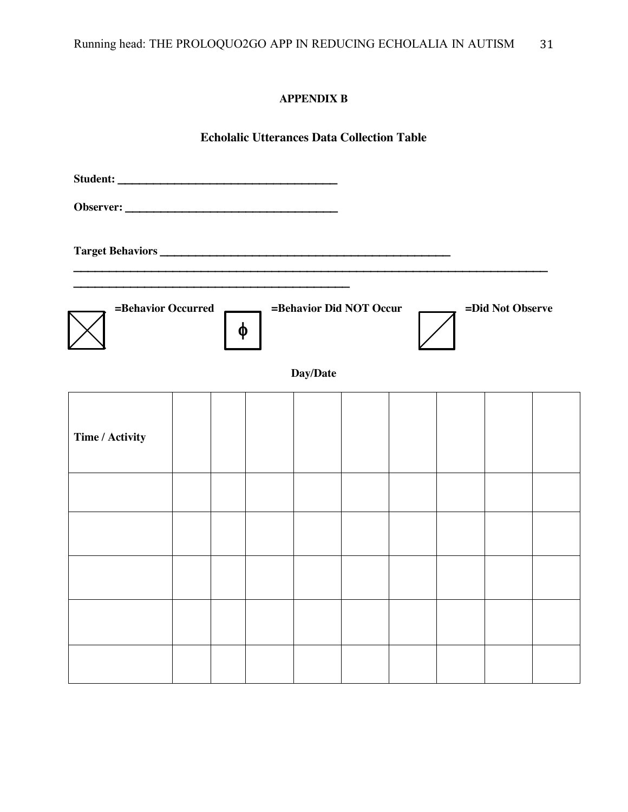# **APPENDIX B**

# **Echolalic Utterances Data Collection Table**

| =Behavior Occurred<br>=Behavior Did NOT Occur<br>$\Rightarrow$ =Did Not Observe<br>φ |  |  |  |          |  |  |  |  |  |  |
|--------------------------------------------------------------------------------------|--|--|--|----------|--|--|--|--|--|--|
|                                                                                      |  |  |  | Day/Date |  |  |  |  |  |  |
| Time / Activity                                                                      |  |  |  |          |  |  |  |  |  |  |
|                                                                                      |  |  |  |          |  |  |  |  |  |  |
|                                                                                      |  |  |  |          |  |  |  |  |  |  |
|                                                                                      |  |  |  |          |  |  |  |  |  |  |
|                                                                                      |  |  |  |          |  |  |  |  |  |  |
|                                                                                      |  |  |  |          |  |  |  |  |  |  |